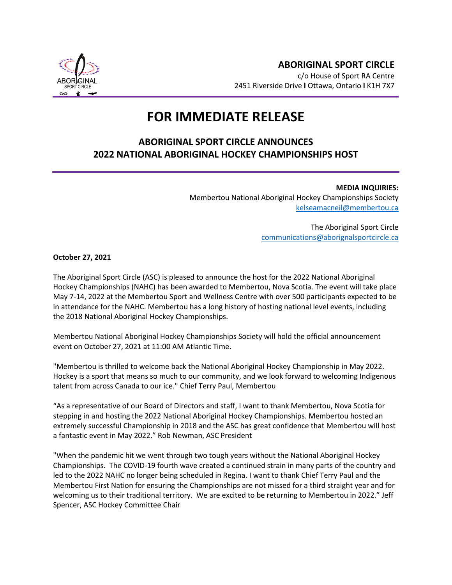

**ABORIGINAL SPORT CIRCLE** c/o House of Sport RA Centre 2451 Riverside Drive **l** Ottawa, Ontario **l** K1H 7X7

## **FOR IMMEDIATE RELEASE**

## **ABORIGINAL SPORT CIRCLE ANNOUNCES 2022 NATIONAL ABORIGINAL HOCKEY CHAMPIONSHIPS HOST**

**MEDIA INQUIRIES:** Membertou National Aboriginal Hockey Championships Society [kelseamacneil@membertou.ca](mailto:kelseamacneil@membertou.ca)

> The Aboriginal Sport Circle [communications@aborignalsportcircle.ca](mailto:communications@aborignalsportcircle.ca)

**October 27, 2021**

The Aboriginal Sport Circle (ASC) is pleased to announce the host for the 2022 National Aboriginal Hockey Championships (NAHC) has been awarded to Membertou, Nova Scotia. The event will take place May 7-14, 2022 at the Membertou Sport and Wellness Centre with over 500 participants expected to be in attendance for the NAHC. Membertou has a long history of hosting national level events, including the 2018 National Aboriginal Hockey Championships.

Membertou National Aboriginal Hockey Championships Society will hold the official announcement event on October 27, 2021 at 11:00 AM Atlantic Time.

"Membertou is thrilled to welcome back the National Aboriginal Hockey Championship in May 2022. Hockey is a sport that means so much to our community, and we look forward to welcoming Indigenous talent from across Canada to our ice." Chief Terry Paul, Membertou

"As a representative of our Board of Directors and staff, I want to thank Membertou, Nova Scotia for stepping in and hosting the 2022 National Aboriginal Hockey Championships. Membertou hosted an extremely successful Championship in 2018 and the ASC has great confidence that Membertou will host a fantastic event in May 2022." Rob Newman, ASC President

"When the pandemic hit we went through two tough years without the National Aboriginal Hockey Championships. The COVID-19 fourth wave created a continued strain in many parts of the country and led to the 2022 NAHC no longer being scheduled in Regina. I want to thank Chief Terry Paul and the Membertou First Nation for ensuring the Championships are not missed for a third straight year and for welcoming us to their traditional territory. We are excited to be returning to Membertou in 2022." Jeff Spencer, ASC Hockey Committee Chair